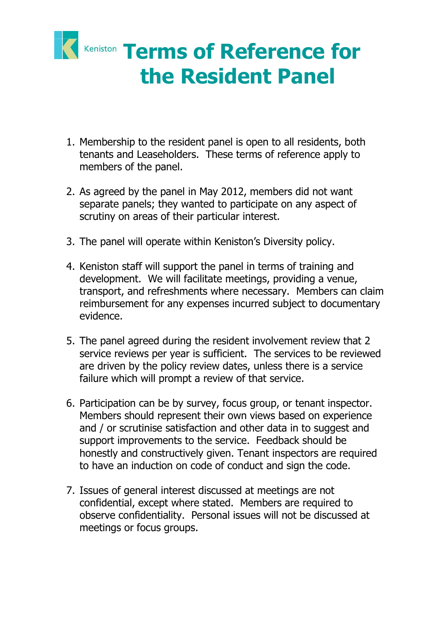

- 1. Membership to the resident panel is open to all residents, both tenants and Leaseholders. These terms of reference apply to members of the panel.
- 2. As agreed by the panel in May 2012, members did not want separate panels; they wanted to participate on any aspect of scrutiny on areas of their particular interest.
- 3. The panel will operate within Keniston's Diversity policy.
- 4. Keniston staff will support the panel in terms of training and development. We will facilitate meetings, providing a venue, transport, and refreshments where necessary. Members can claim reimbursement for any expenses incurred subject to documentary evidence.
- 5. The panel agreed during the resident involvement review that 2 service reviews per year is sufficient. The services to be reviewed are driven by the policy review dates, unless there is a service failure which will prompt a review of that service.
- 6. Participation can be by survey, focus group, or tenant inspector. Members should represent their own views based on experience and / or scrutinise satisfaction and other data in to suggest and support improvements to the service. Feedback should be honestly and constructively given. Tenant inspectors are required to have an induction on code of conduct and sign the code.
- 7. Issues of general interest discussed at meetings are not confidential, except where stated. Members are required to observe confidentiality. Personal issues will not be discussed at meetings or focus groups.